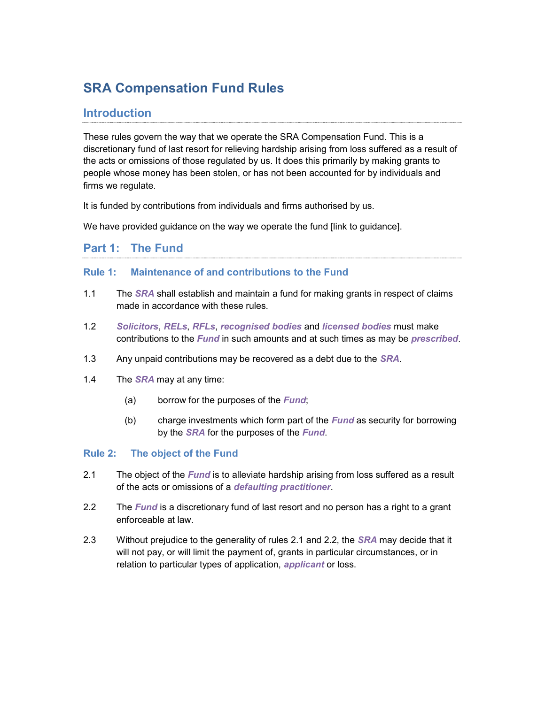# SRA Compensation Fund Rules

# Introduction

These rules govern the way that we operate the SRA Compensation Fund. This is a discretionary fund of last resort for relieving hardship arising from loss suffered as a result of the acts or omissions of those regulated by us. It does this primarily by making grants to people whose money has been stolen, or has not been accounted for by individuals and firms we regulate.

It is funded by contributions from individuals and firms authorised by us.

We have provided guidance on the way we operate the fund [link to guidance].

### Part 1: The Fund

### Rule 1: Maintenance of and contributions to the Fund

- 1.1 The SRA shall establish and maintain a fund for making grants in respect of claims made in accordance with these rules.
- 1.2 Solicitors, RELs, RFLs, recognised bodies and licensed bodies must make contributions to the Fund in such amounts and at such times as may be prescribed.
- 1.3 Any unpaid contributions may be recovered as a debt due to the **SRA**.
- 1.4 The  $SRA$  may at any time:
	- (a) borrow for the purposes of the Fund;
	- (b) charge investments which form part of the  $\text{Fund}$  as security for borrowing by the SRA for the purposes of the Fund.

### Rule 2: The object of the Fund

- 2.1 The object of the *Fund* is to alleviate hardship arising from loss suffered as a result of the acts or omissions of a defaulting practitioner.
- 2.2 The Fund is a discretionary fund of last resort and no person has a right to a grant enforceable at law.
- 2.3 Without prejudice to the generality of rules 2.1 and 2.2, the *SRA* may decide that it will not pay, or will limit the payment of, grants in particular circumstances, or in relation to particular types of application, *applicant* or loss.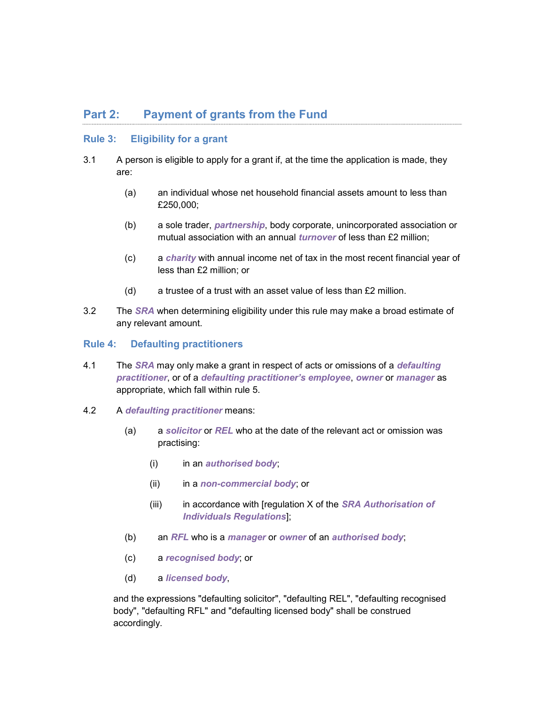## Part 2: Payment of grants from the Fund

### Rule 3: Eligibility for a grant

- 3.1 A person is eligible to apply for a grant if, at the time the application is made, they are:
	- (a) an individual whose net household financial assets amount to less than £250,000;
	- (b) a sole trader, partnership, body corporate, unincorporated association or mutual association with an annual *turnover* of less than £2 million;
	- (c) a charity with annual income net of tax in the most recent financial year of less than £2 million; or
	- (d) a trustee of a trust with an asset value of less than £2 million.
- 3.2 The SRA when determining eligibility under this rule may make a broad estimate of any relevant amount.

#### Rule 4: Defaulting practitioners

- 4.1 The SRA may only make a grant in respect of acts or omissions of a *defaulting* practitioner, or of a defaulting practitioner's employee, owner or manager as appropriate, which fall within rule 5.
- 4.2 A defaulting practitioner means:
	- (a) a solicitor or  $REL$  who at the date of the relevant act or omission was practising:
		- (i) in an *authorised body*;
		- (ii) in a non-commercial body; or
		- (iii) in accordance with [regulation  $X$  of the **SRA Authorisation of** Individuals Regulations];
	- (b) an RFL who is a manager or owner of an authorised body;
	- (c) a recognised body; or
	- (d) a licensed body,

and the expressions "defaulting solicitor", "defaulting REL", "defaulting recognised body", "defaulting RFL" and "defaulting licensed body" shall be construed accordingly.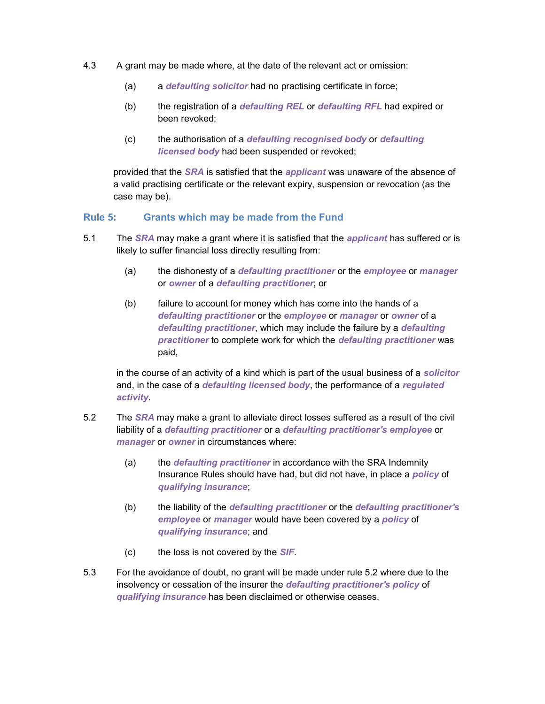- 4.3 A grant may be made where, at the date of the relevant act or omission:
	- (a) a *defaulting solicitor* had no practising certificate in force;
	- (b) the registration of a *defaulting REL* or *defaulting RFL* had expired or been revoked;
	- (c) the authorisation of a defaulting recognised body or defaulting licensed body had been suspended or revoked;

provided that the SRA is satisfied that the applicant was unaware of the absence of a valid practising certificate or the relevant expiry, suspension or revocation (as the case may be).

#### Rule 5: Grants which may be made from the Fund

- 5.1 The SRA may make a grant where it is satisfied that the *applicant* has suffered or is likely to suffer financial loss directly resulting from:
	- (a) the dishonesty of a *defaulting practitioner* or the *employee* or manager or owner of a defaulting practitioner; or
	- (b) failure to account for money which has come into the hands of a defaulting practitioner or the employee or manager or owner of a defaulting practitioner, which may include the failure by a defaulting practitioner to complete work for which the defaulting practitioner was paid,

in the course of an activity of a kind which is part of the usual business of a solicitor and, in the case of a *defaulting licensed body*, the performance of a *regulated* activity.

- 5.2 The SRA may make a grant to alleviate direct losses suffered as a result of the civil liability of a defaulting practitioner or a defaulting practitioner's employee or manager or owner in circumstances where:
	- (a) the *defaulting practitioner* in accordance with the SRA Indemnity Insurance Rules should have had, but did not have, in place a *policy* of qualifying insurance;
	- (b) the liability of the defaulting practitioner or the defaulting practitioner's employee or manager would have been covered by a policy of qualifying insurance; and
	- (c) the loss is not covered by the SIF.
- 5.3 For the avoidance of doubt, no grant will be made under rule 5.2 where due to the insolvency or cessation of the insurer the defaulting practitioner's policy of qualifying insurance has been disclaimed or otherwise ceases.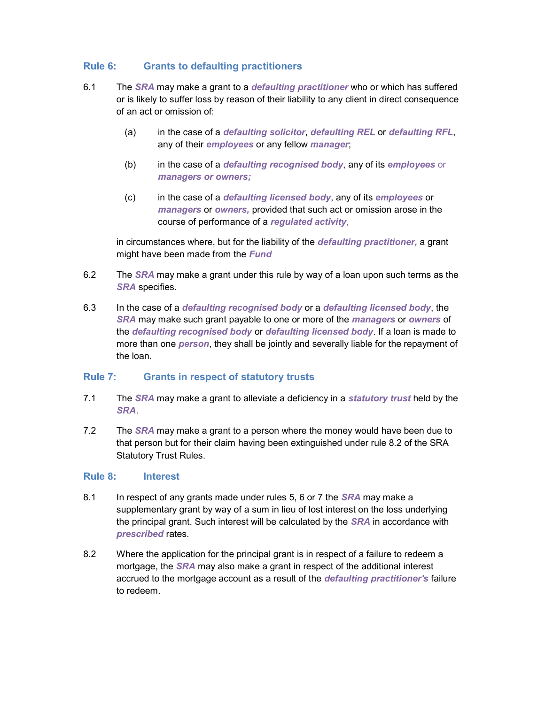### Rule 6: Grants to defaulting practitioners

- 6.1 The SRA may make a grant to a *defaulting practitioner* who or which has suffered or is likely to suffer loss by reason of their liability to any client in direct consequence of an act or omission of:
	- (a) in the case of a defaulting solicitor, defaulting REL or defaulting RFL, any of their employees or any fellow manager;
	- (b) in the case of a *defaulting recognised body*, any of its *employees* or managers or owners;
	- (c) in the case of a defaulting licensed body, any of its employees or managers or owners, provided that such act or omission arose in the course of performance of a regulated activity,

in circumstances where, but for the liability of the *defaulting practitioner*, a grant might have been made from the **Fund** 

- 6.2 The SRA may make a grant under this rule by way of a loan upon such terms as the SRA specifies.
- 6.3 In the case of a defaulting recognised body or a defaulting licensed body, the SRA may make such grant payable to one or more of the *managers* or owners of the defaulting recognised body or defaulting licensed body. If a loan is made to more than one *person*, they shall be jointly and severally liable for the repayment of the loan.

#### Rule 7: Grants in respect of statutory trusts

- 7.1 The SRA may make a grant to alleviate a deficiency in a *statutory trust* held by the SRA.
- 7.2 The SRA may make a grant to a person where the money would have been due to that person but for their claim having been extinguished under rule 8.2 of the SRA Statutory Trust Rules.

#### Rule 8: Interest

- 8.1 In respect of any grants made under rules 5, 6 or 7 the **SRA** may make a supplementary grant by way of a sum in lieu of lost interest on the loss underlying the principal grant. Such interest will be calculated by the SRA in accordance with prescribed rates.
- 8.2 Where the application for the principal grant is in respect of a failure to redeem a mortgage, the **SRA** may also make a grant in respect of the additional interest accrued to the mortgage account as a result of the defaulting practitioner's failure to redeem.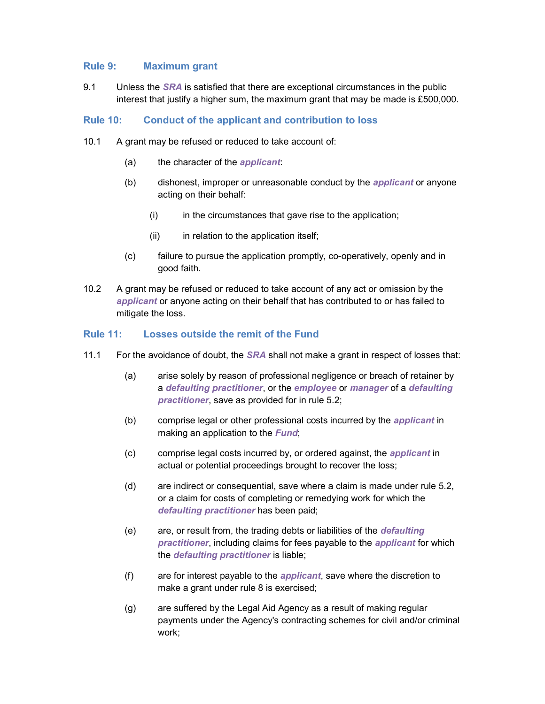#### Rule 9: Maximum grant

9.1 Unless the *SRA* is satisfied that there are exceptional circumstances in the public interest that justify a higher sum, the maximum grant that may be made is £500,000.

#### Rule 10: Conduct of the applicant and contribution to loss

- 10.1 A grant may be refused or reduced to take account of:
	- (a) the character of the *applicant*:
	- (b) dishonest, improper or unreasonable conduct by the *applicant* or anyone acting on their behalf:
		- (i) in the circumstances that gave rise to the application;
		- (ii) in relation to the application itself;
	- (c) failure to pursue the application promptly, co-operatively, openly and in good faith.
- 10.2 A grant may be refused or reduced to take account of any act or omission by the applicant or anyone acting on their behalf that has contributed to or has failed to mitigate the loss.

#### Rule 11: Losses outside the remit of the Fund

- 11.1 For the avoidance of doubt, the *SRA* shall not make a grant in respect of losses that:
	- (a) arise solely by reason of professional negligence or breach of retainer by a defaulting practitioner, or the employee or manager of a defaulting practitioner, save as provided for in rule 5.2;
	- (b) comprise legal or other professional costs incurred by the *applicant* in making an application to the **Fund**;
	- (c) comprise legal costs incurred by, or ordered against, the *applicant* in actual or potential proceedings brought to recover the loss;
	- (d) are indirect or consequential, save where a claim is made under rule 5.2, or a claim for costs of completing or remedying work for which the defaulting practitioner has been paid;
	- (e) are, or result from, the trading debts or liabilities of the *defaulting* practitioner, including claims for fees payable to the applicant for which the *defaulting practitioner* is liable;
	- $(f)$  are for interest payable to the *applicant*, save where the discretion to make a grant under rule 8 is exercised;
	- (g) are suffered by the Legal Aid Agency as a result of making regular payments under the Agency's contracting schemes for civil and/or criminal work;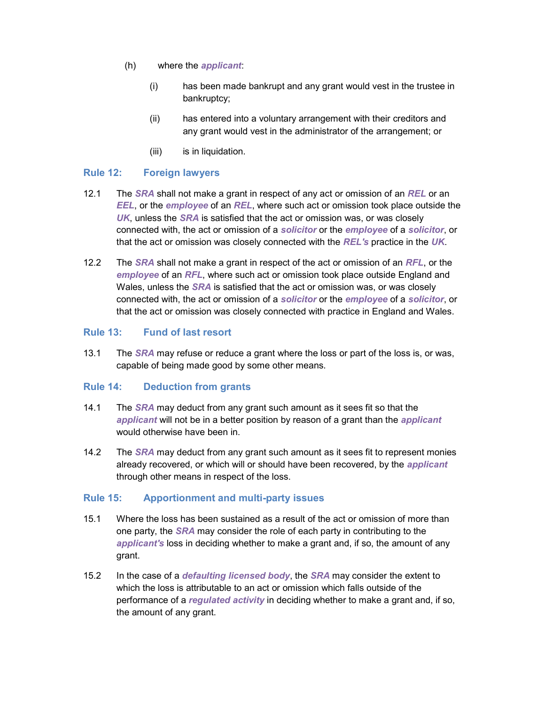- (h) where the *applicant*:
	- (i) has been made bankrupt and any grant would vest in the trustee in bankruptcy;
	- (ii) has entered into a voluntary arrangement with their creditors and any grant would vest in the administrator of the arrangement; or
	- (iii) is in liquidation.

### Rule 12: Foreign lawyers

- 12.1 The SRA shall not make a grant in respect of any act or omission of an REL or an **EEL**, or the employee of an REL, where such act or omission took place outside the UK, unless the SRA is satisfied that the act or omission was, or was closely connected with, the act or omission of a solicitor or the employee of a solicitor, or that the act or omission was closely connected with the REL's practice in the UK.
- 12.2 The SRA shall not make a grant in respect of the act or omission of an RFL, or the employee of an RFL, where such act or omission took place outside England and Wales, unless the *SRA* is satisfied that the act or omission was, or was closely connected with, the act or omission of a solicitor or the employee of a solicitor, or that the act or omission was closely connected with practice in England and Wales.

#### Rule 13: Fund of last resort

13.1 The SRA may refuse or reduce a grant where the loss or part of the loss is, or was, capable of being made good by some other means.

#### Rule 14: Deduction from grants

- 14.1 The SRA may deduct from any grant such amount as it sees fit so that the applicant will not be in a better position by reason of a grant than the applicant would otherwise have been in.
- 14.2 The SRA may deduct from any grant such amount as it sees fit to represent monies already recovered, or which will or should have been recovered, by the *applicant* through other means in respect of the loss.

#### Rule 15: Apportionment and multi-party issues

- 15.1 Where the loss has been sustained as a result of the act or omission of more than one party, the **SRA** may consider the role of each party in contributing to the applicant's loss in deciding whether to make a grant and, if so, the amount of any grant.
- 15.2 In the case of a *defaulting licensed body*, the *SRA* may consider the extent to which the loss is attributable to an act or omission which falls outside of the performance of a regulated activity in deciding whether to make a grant and, if so, the amount of any grant.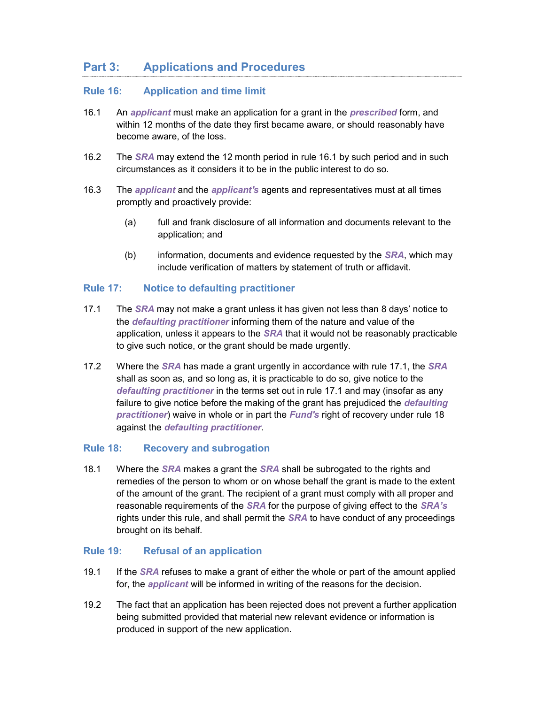## Part 3: Applications and Procedures

### Rule 16: Application and time limit

- 16.1 An applicant must make an application for a grant in the *prescribed* form, and within 12 months of the date they first became aware, or should reasonably have become aware, of the loss.
- 16.2 The SRA may extend the 12 month period in rule 16.1 by such period and in such circumstances as it considers it to be in the public interest to do so.
- 16.3 The *applicant* and the *applicant's* agents and representatives must at all times promptly and proactively provide:
	- (a) full and frank disclosure of all information and documents relevant to the application; and
	- (b) information, documents and evidence requested by the  $SRA$ , which may include verification of matters by statement of truth or affidavit.

### Rule 17: Notice to defaulting practitioner

- 17.1 The SRA may not make a grant unless it has given not less than 8 days' notice to the *defaulting practitioner* informing them of the nature and value of the application, unless it appears to the  $SRA$  that it would not be reasonably practicable to give such notice, or the grant should be made urgently.
- 17.2 Where the **SRA** has made a grant urgently in accordance with rule 17.1, the **SRA** shall as soon as, and so long as, it is practicable to do so, give notice to the defaulting practitioner in the terms set out in rule 17.1 and may (insofar as any failure to give notice before the making of the grant has prejudiced the *defaulting* practitioner) waive in whole or in part the Fund's right of recovery under rule 18 against the defaulting practitioner.

#### Rule 18: Recovery and subrogation

18.1 Where the *SRA* makes a grant the *SRA* shall be subrogated to the rights and remedies of the person to whom or on whose behalf the grant is made to the extent of the amount of the grant. The recipient of a grant must comply with all proper and reasonable requirements of the SRA for the purpose of giving effect to the SRA's rights under this rule, and shall permit the *SRA* to have conduct of any proceedings brought on its behalf.

#### Rule 19: Refusal of an application

- 19.1 If the SRA refuses to make a grant of either the whole or part of the amount applied for, the *applicant* will be informed in writing of the reasons for the decision.
- 19.2 The fact that an application has been rejected does not prevent a further application being submitted provided that material new relevant evidence or information is produced in support of the new application.